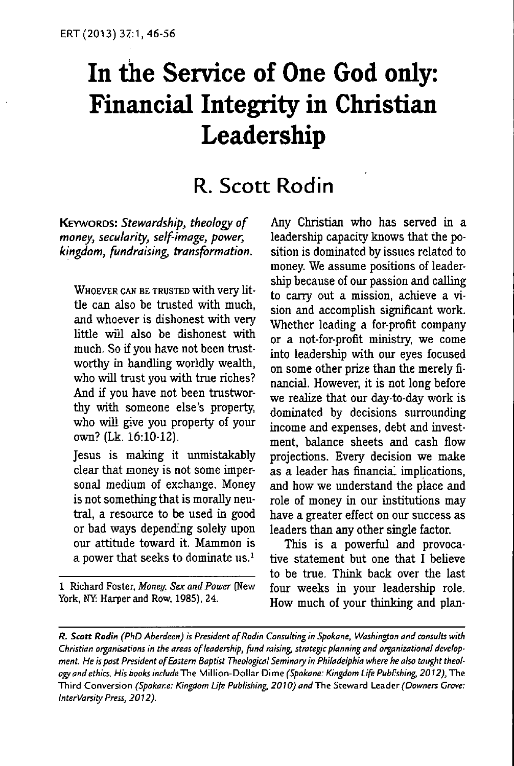# **In the Service of One God only: Financial Integrity in Christian Leadership**

# R. Scott Rodin

KEYWORDS: Stewardship, theology of money, secularity, self-image, power, kingdom, fundraising, transformation.

WHOEVER CAN BE TRUSTED with very little can also be trusted with much, and whoever is dishonest with very little wül also be dishonest with much. So if you have not been trustworthy in handling worldly wealth, who will trust you with true riches? And if you have not been trustworthy with someone else's property, who will give you property of your own? (Lk. 16:10-12).

Jesus is making it unmistakably clear that money is not some impersonal medium of exchange. Money is not something that is morally neutral, a resource to be used in good or bad ways depending solely upon our attitude toward it. Mammon is a power that seeks to dominate us.'

1 Richard Foster, *Money, Sex and Power* (New York, NY: Harper and Row. 1985), 24.

Any Christian who has served in a leadership capacity knows that the position is dominated by issues related to money. We assume positions of leadership because of our passion and calling to cany out a mission, achieve a vision and accomplish significant work. Whether leading a for-profit company or a not-for-profit ministry, we come into leadership with our eyes focused on some other prize than the merely financial. However, it is not long before we realize that our day-to-day work is dominated by decisions surrounding income and expenses, debt and investment, balance sheets and cash fiow projections. Every decision we make as a leader has financial implications, and how we understand the place and role of money in our institutions may have a greater effect on our success as leaders than any other single factor.

This is a powerful and provocative statement but one that I believe to be true. Think back over the last four weeks in your leadership role. How much of your thinking and plan-

**R. Scott Rodin** (PhD Aberdeen) is President of Rodin Consulting in Spokane, Washington and consults with Christian organisations in the areas of leadership, fund raising, strategic planning and organizational development. He is past President of Eastern Baptist Theological Seminary in Philadelphia where he also taught theology and ethics. His books include The Million-Dollar Dime (Spokane: Kingdom Life PubFshing, 2012), The Third Conversion (Spokane: Kingdom Life Publishing, 2010) and The Steward Leader (Downers Grove: InterVarsity Press, 2012).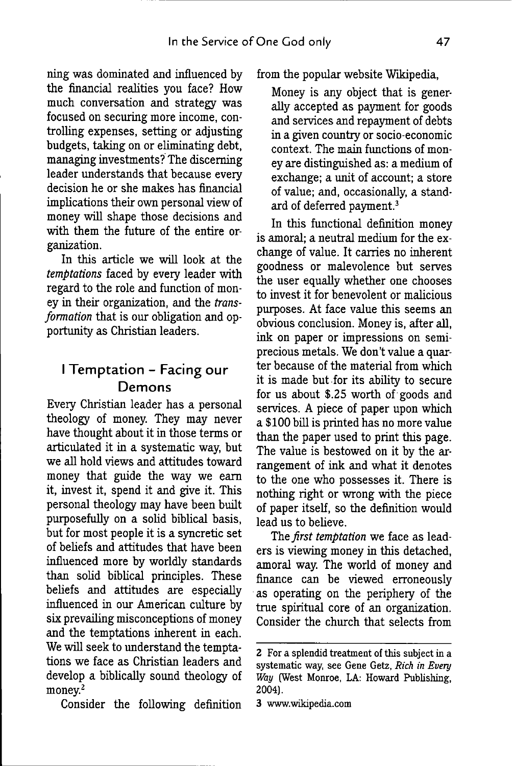ning was dominated and influenced by the financial realities you face? How much conversation and strategy was focused on securing more income, controlling expenses, setting or adjusting budgets, taking on or eliminating debt, managing investments? The discerning leader understands that because every decision he or she makes has financial implications their own personal view of money will shape those decisions and with them the future of the entire organization.

In this article we will look at the *temptations* faced by every leader with regard to the role and function of money in their organization, and the *transformation* that is our obligation and opportunity as Christian leaders.

# I Temptation - Facing our Demons

Every Christian leader has a personal theology of money. They may never have thought about it in those terms or articulated it in a systematic way, but we all hold views and attitudes toward money that guide the way we eam it, invest it, spend it and give it. This personal theology may have been built purposefully on a solid biblical basis, but for most people it is a syncretic set of beliefs and attitudes that have been influenced more by worldly standards than solid biblical principles. These beliefs and attitudes are especially influenced in our American culture by six prevailing misconceptions of money and the temptations inherent in each. We will seek to understand the temptations we face as Christian leaders and develop a biblically sound theology of money. $2$ 

Consider the following definition

from the popular website Wikipedia,

Money is any object that is generally accepted as payment for goods and services and repayment of debts in a given country or socio-economic context. The main functions of money are distinguished as: a medium of exchange; a unit of account; a store of value; and, occasionally, a standard of deferred payment.<sup>3</sup>

In this functional definition money is amoral; a neutral medium for the exchange of value. It carries no inherent goodness or malevolence but serves the user equally whether one chooses to invest it for benevolent or malicious purposes. At face value this seems an obvious conclusion. Money is, after all, ink on paper or impressions on semiprecious metals. We don't value a quarter because of the material from which it is made but for its ability to secure for us about \$.25 worth of goods and services. A piece of paper upon which a \$100 bill is printed has no more value than the paper used to print this page. The value is bestowed on it by the arrangement of ink and what it denotes to the one who possesses it. There is nothing right or wrong with the piece of paper itself, so the definition would lead us to believe.

The *first temptation* we face as leaders is viewing money in this detached, amoral way. The world of money and finance can be viewed erroneously as operating on the periphery of the true spiritual core of an organization. Consider the church that selects from

<sup>2</sup> For a splendid treatment of this subject in a systematic way, see Gene Getz, *Rich in Every Way* (West Monroe, LA: Howard Publishing, 2004).

<sup>3</sup> www.wikipedia.com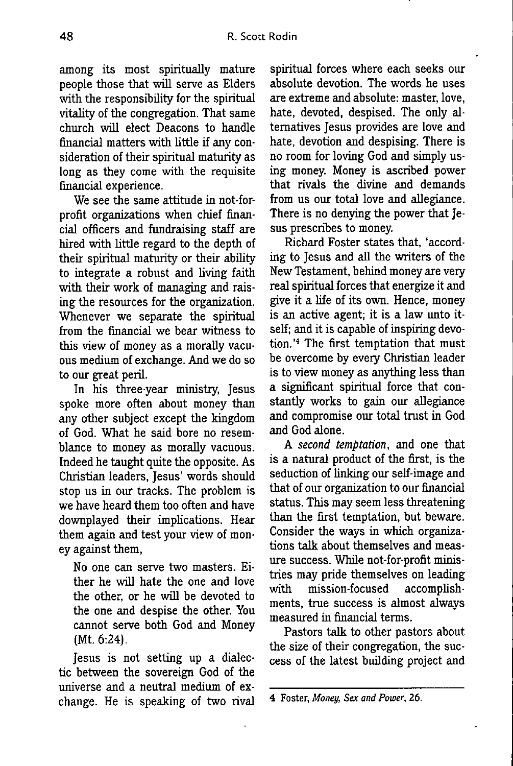among its most spiritually mature people those that will serve as Elders with the responsibility for the spiritual vitality of the congregation. That same church will elect Deacons to handle financial matters with little if any consideration of their spiritual maturity as long as they come with the requisite financial experience.

We see the same attitude in not-forprofit organizations when chief financial officers and fundraising staff are hired with little regard to the depth of their spiritual maturity or their ability to integrate a robust and living faith with their work of managing and raising the resources for the organization. Whenever we separate the spiritual from the financial we bear witness to this view of money as a morally vacuous medium of exchange. And we do so to our great peril.

In his three-year ministry, Jesus spoke more often about money than any other subject except the kingdom of God. What he said bore no resemblance to money as morally vacuous. Indeed he taught quite the opposite. As Christian leaders, Jesus' words should stop us in our tracks. The problem is we have heard them too often and have downplayed their implications. Hear them again and test your view of money against them,

No one can serve two masters. Either he will hate the one and love the other, or he will be devoted to the one and despise the other. You cannot serve both God and Money (Mt.6:24).

Jesus is not setting up a dialectic between the sovereign God of the universe and a neutral medium of exchange. He is speaking of two rival

spiritual forces where each seeks our absolute devotion. The words he uses are extreme and absolute: master, love, hate, devoted, despised. The only alternatives Jesus provides are love and hate, devotion and despising. There is no room for loving God and simply using money. Money is ascribed power that rivals the divine and demands from us our total love and allegiance. There is no denying the power that Jesus prescribes to money.

Richard Foster states that, 'according to Jesus and all the writers of the New Testament, behind money are very real spiritual forces that energize it and give it a life of its own. Hence, money is an active agent; it is a law unto itself; and it is capable of inspiring devotion.'<sup>4</sup> The first temptation that must be overcome by every Christian leader is to view money as anything less than a significant spiritual force that constantiy works to gain our allegiance and compromise our total trust in God and God alone.

A *second temptation,* and one that is a natural product of the first, is the seduction of linking our self-image and that of our organization to our financial status. This may seem less threatening than the first temptation, but beware. Consider the ways in which organizations talk about themselves and measure success. While not-for-profit ministries may pride themselves on leading with mission-focused accomplishments, true success is almost always measured in financial terms.

Pastors talk to other pastors about the size of their congregation, the success of the latest building project and

<sup>4</sup> Foster, *Money, Sex and Power,* 26.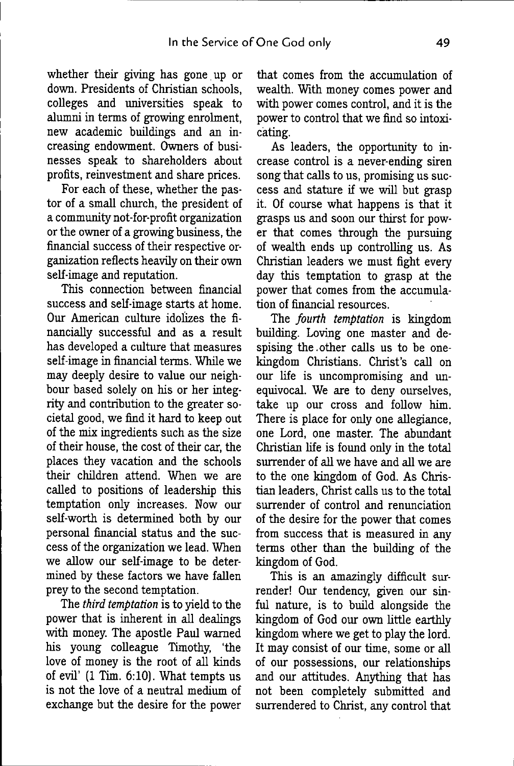whether their giving has gone up or down. Presidents of Christian schools, colleges and universities speak to alumni in terms of growing enrolment, new academic buildings and an increasing endowment. Owners of businesses speak to shareholders about profits, reinvestment and share prices.

For each of these, whether the pastor of a small church, the president of a community not-for-profit organization or the owner of a growing business, the financial success of their respective organization reflects heavily on their own self-image and reputation.

This connection between financial success and self-image starts at home. Our American culture idolizes the financially successful and as a result has developed a culture that measures self-ünage in financial terms. Whüe we may deeply desire to value our neighbour based solely on his or her integrity and contribution to the greater societal good, we find it hard to keep out of the mix ingredients such as the size of their house, the cost of their car, the places they vacation and the schools their children attend. When we are called to positions of leadership this temptation only increases. Now our self-worth is determined both by our personal financial status and the success of the organization we lead. When we allow our self-image to be determined by these factors we have fallen prey to the second temptation.

The *third temptation* is to yield to the power that is inherent in all dealings with money. The apostle Paul warned his young colleague Timothy, 'the love of money is the root of all kinds of evü' (1 Tim. 6:10). What tempts us is not the love of a neutral medium of exchange but the desire for the power that comes from the accumulation of wealth. With money comes power and with power comes control, and it is the power to control that we find so intoxicating.

As leaders, the opportunity to increase control is a never-ending siren song that calls to us, promising us success and statiure if we will but grasp it. Of course what happens is that it grasps us and soon our thirst for power that comes through the pursuing of wealth ends up controlling us. As Christian leaders we must fight every day this temptation to grasp at the power that comes from the accumulation of financial resources.

The *fourth temptation* is kingdom building. Loving one master and despising the.other calls us to be onekingdom Christians. Christ's call on our life is uncompromising and unequivocal. We are to deny ourselves, take up our cross and follow him. There is place for only one allegiance, one Lord, one master. The abundant Christian life is found only in the total surrender of all we have and all we are to the one kingdom of God. As Christian leaders, Christ calls us to the total surrender of control and renunciation of the desire for the power that comes from success that is measured in any terms other than the building of the kingdom of God.

This is an amazingly difficult surrender! Our tendency, given our sinful nature, is to buüd alongside the kingdom of God our own httle earthly kingdom where we get to play the lord. It may consist of our time, some or all of our possessions, our relationships and our attitudes. Anything that has not been completely submitted and surrendered to Christ, any control that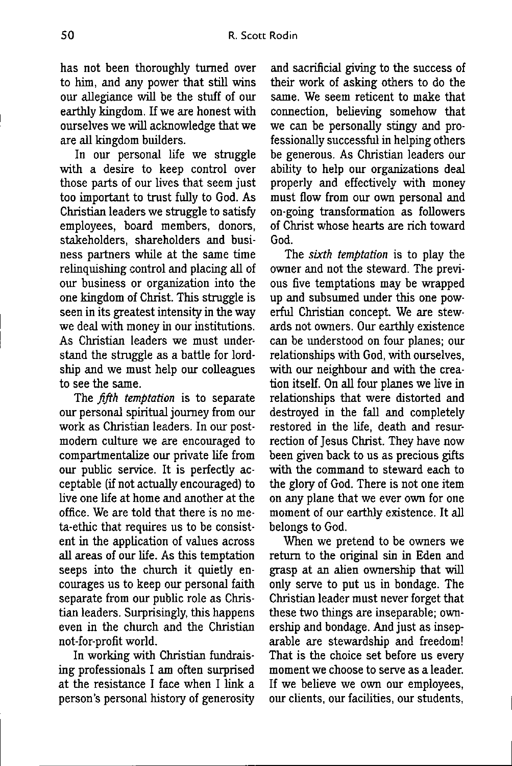has not been thoroughly turned over to him, and any power that still wins our allegiance will be the stuff of our earthly kingdom. If we are honest with ourselves we will acknowledge that we are all kingdom builders.

In our personal life we struggle with a desire to keep control over those parts of our lives that seem just too important to trust fully to God. As Christian leaders we struggle to satisfy employees, board members, donors, stakeholders, shareholders and business partners while at the same time relinquishing control and placing all of our business or organization into the one kingdom of Christ. This struggle is seen in its greatest intensity in the way we deal with money in our institutions. As Christian leaders we must understand the struggle as a battle for lordship and we must help our colleagues to see the same.

The *fifth temptation* is to separate our personal spiritual journey from our work as Christian leaders. In our postmodem culture we are encouraged to compartmentalize our private life from our public service. It is perfectiy acceptable (if not actually encouraged) to live one life at home and another at the office. We are told that there is no meta-ethic that requires us to be consistent in the application of values across all areas of our life. As this temptation seeps into the church it quietly encourages us to keep our personal faith separate from our public role as Christian leaders. Surprisingly, this happens even in the church and the Christian not-for-profit world.

In working with Christian fundraising professionals I am often surprised at the resistance I face when I link a person's personal history of generosity and sacrificial giving to the success of their work of asking others to do the same. We seem reticent to make that connection, believing somehow that we can be personally stingy and professionally successful in helping others be generous. As Christian leaders our ability to help our organizations deal properly and effectively with money must flow from our own personal and on-going transformation as followers of Christ whose hearts are rich toward God.

The *sixth temptation* is to play the owner and not the steward. The previous five temptations may be wrapped up and subsumed under this one powerful Christian concept. We are stewards not owners. Our earthly existence can be understood on four planes; our relationships with God, with ourselves, with our neighbour and with the creation itself. On all four planes we live in relationships that were distorted and destroyed in the fall and completely restored in the life, death and resurrection of Jesus Christ. They have now been given back to us as precious gifts with the command to steward each to the glory of God. There is not one item on any plane that we ever own for one moment of our earthly existence. It all belongs to God.

When we pretend to be owners we return to the original sin in Eden and grasp at an alien ownership that will only serve to put us in bondage. The Christian leader must never forget that these two things are inseparable; ownership and bondage. And just as inseparable are stewardship and freedom! That is the choice set before us every moment we choose to serve as a leader. If we believe we own our employees, our clients, our facilities, our students.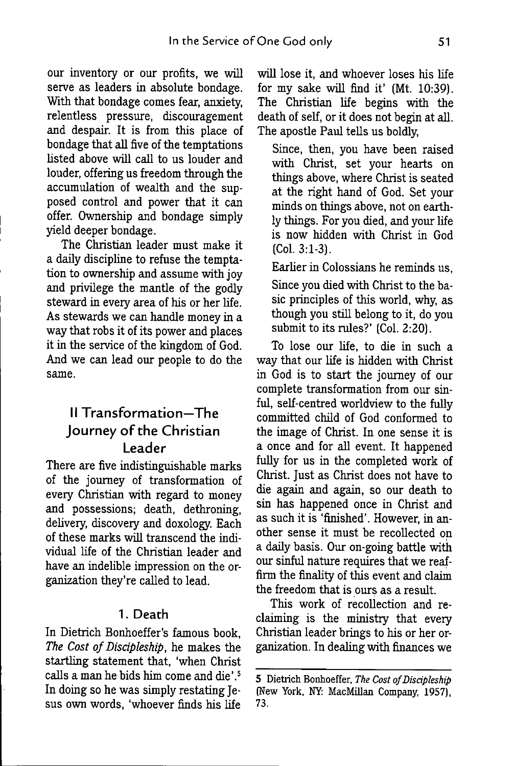our inventory or our profits, we will serve as leaders in absolute bondage. With that bondage comes fear, anxiety, relentless pressure, discouragement and despair. It is from this place of bondage that all five of the temptations listed above will call to us louder and louder, offering us freedom through the accumulation of wealth and the supposed control and power that it can offer. Ownership and bondage simply yield deeper bondage.

The Christian leader must make it a dauy discipline to refuse the temptation to ownership and assume with joy and privilege the mantle of the godly steward in every area of his or her life. As stewards we can handle money in a way that robs it of its power and places it in the service of the kingdom of God. And we can lead our people to do the same.

## II Transformation—The Journey of the Christian Leader

There are five indistinguishable marks of the journey of transformation of every Christian with regard to money and possessions; death, dethroning, delivery, discovery and doxology. Each of these marks wiU transcend the individual life of the Christian leader and have an indelible impression on the organization they're called to lead.

#### 1. Death

In Dietrich Bonhoeffer's famous book. The Cost of Discipleship, he makes the startling statement that, 'when Christ calls a man he bids him come and die'.<sup>5</sup> In doing so he was simply restating Jesus own words, 'whoever finds his life

wül lose it, and whoever loses his life for my sake will find it' (Mt. 10:39). The Christian life begins with the death of self, or it does not begin at all. The apostle Paul tells us boldly.

Since, then, you have been raised with Christ, set your hearts on things above, where Christ is seated at the right hand of God. Set your minds on things above, not on earthly things. For you died, and your life is now hidden with Christ in God (CoL 3:1-3).

Earlier in Colossians he reminds us. Since you died with Christ to the basic principles of this world, why, as though you still belong to it, do you submit to its rules?' (Col. 2:20).

To lose our life, to die in such a way that our life is hidden with Christ in God is to start the journey of our complete transformation from our sinful, self-centred worldview to the fully committed child of God conformed to the image of Christ. In one sense it is a once and for all event. It happened fully for us in the completed work of Christ. Just as Christ does not have to die again and again, so our death to sin has happened once in Christ and as such it is 'finished'. However, in another sense it must be recollected on a daily basis. Our on-going battle with our sinful nature requires that we reaffirm the finality of this event and claim the freedom that is ours as a result.

This work of recollection and reclaiming is the ministry that every Christian leader brings to his or her organization. In dealing with finances we

<sup>5</sup> Dietrich Bonhoeffer, The Cost of Discipleship (New York, NY: MacMillan Company, 1957), 73.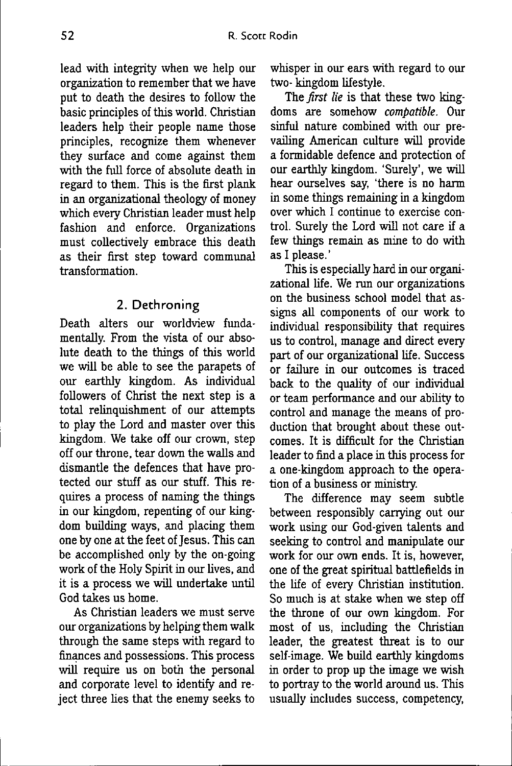lead with integrity when we help our organization to remember that we have put to death the desires to follow the basic principles of this world. Christian leaders help their people name those principles, recognize them whenever they surface and come against them with the full force of absolute death in regard to them. This is the first plank in an organizational theology of money which every Christian leader must help fashion and enforce. Organizations must collectively embrace this death as their first step toward communal transformation.

#### 2. Dethroning

Death alters our worldview fundamentally. From the *msta.* of our absolute death to the things of this world we will be able to see the parapets of our earthly kingdom. As individual followers of Christ the next step is a total relinquishment of our attempts to play the Lord and master over this kingdom. We take off our crown, step off our throne, tear down the walls and dismantle the defences that have protected our stuff as our stuff. This requires a process of naming the things in our kingdom, repenting of our kingdom building ways, and placing them one by one at the feet of Jesus. This can be accomplished only by the on-going work of the Holy Spirit in our lives, and it is a process we will undertake until God takes us home.

As Christian leaders we must serve our organizations by helping them walk through the same steps with regard to finances and possessions. This process will require us on both the personal and corporate level to identify and reject three lies that the enemy seeks to whisper in our ears with regard to our two- kingdom lifestyle.

The *first lie* is that these two kingdoms are somehow *compatible.* Our sinful nature combined with our prevailing American culture will provide a formidable defence and protection of our earthly kingdom. 'Surely', we will hear ourselves say, 'there is no harm in some things remaining in a kingdom over which I continue to exercise control. Surely the Lord will not care if a few things remain as mine to do with as I please.'

This is especially hard in our organizational life. We run our organizations on the business school model that assigns all components of our work to individual responsibility that requires us to control, manage and direct every part of our organizational life. Success or failure in our outcomes is traced back to the quality of our individual or team performance and our ability to control and manage the means of production that brought about these outcomes. It is difficult for the Christian leader to find a place in this process for a one-kingdom approach to the operation of a business or ministry.

The difference may seem subtle between responsibly carrying out our work using our God-given talents and seeking to control and manipulate our work for our own ends. It is, however, one of the great spiritual battlefields in the life of every Christian institution. So much is at stake when we step off the throne of our own kingdom. For most of us, including the Christian leader, the greatest threat is to our self-image. We build earthly kingdoms in order to prop up the image we wish to portray to the world around us. This usually includes success, competency.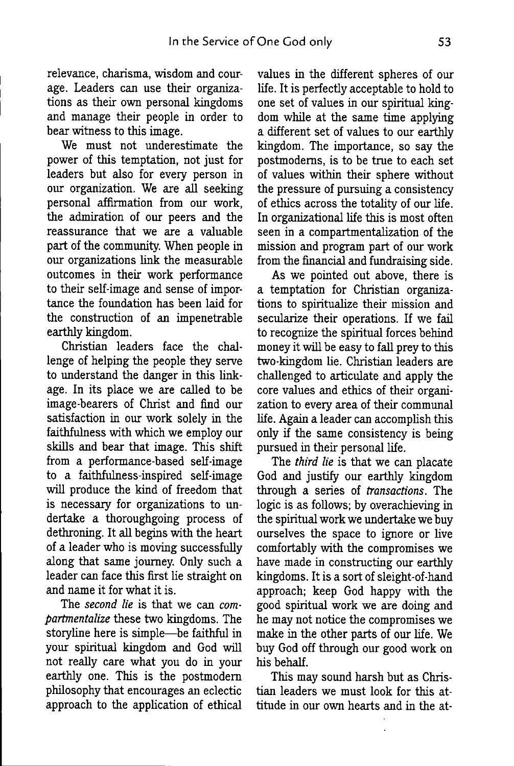relevance, charisma, wisdom and courage. Leaders can use their organizations as their own personal kingdoms and manage their people in order to bear witness to this image.

We must not underestimate the power of this temptation, not just for leaders but also for every person in our organization. We are all seeking personal affirmation from our work, the admiration of our peers and the reassurance that we are a valuable part of the community. When people in our organizations link the measurable outcomes in their work performance to their self-image and sense of importance the foundation has been laid for the construction of an impenetrable earthly kingdom.

Christian leaders face the challenge of helping the people they serve to understand the danger in this linkage. In its place we are called to be image-bearers of Christ and find our satisfaction in our work solely in the faithfulness with which we employ our skills and bear that image. This shift from a performance-based self-image to a faithfulness-inspired self-image will produce the kind of freedom that is necessary for organizations to undertake a thoroughgoing process of dethroning. It all begins with the heart of a leader who is moving successfully along that same journey. Only such a leader can face this first lie straight on and name it for what it is.

The *second lie* is that we can *compartmentalize* these two kingdoms. The storyline here is simple—^be faithful in your spiritual kingdom and God will not really care what you do in your earthly one. This is the postmodern phüosophy that encourages an eclectic approach to the apphcation of ethical

values in the different spheres of our life. It is perfecüy acceptable to hold to one set of values in our spiritual kingdom whüe at the same time applying a different set of values to our earthly kingdom. The importance, so say the postmodems, is to be true to each set of values within their sphere without the pressure of pursuing a consistency of ethics across the totality of our life. In organizational life this is most often seen in a compartmentalization of the mission and program part of our work from the financial and fimdraising side.

As we pointed out above, there is a temptation for Christian organizations to spiritualize their mission and secularize their operations. If we faü to recognize the spiritual forces behind money it wül be easy to fall prey to this two-kingdom lie. Christian leaders are challenged to articulate and apply the core values and ethics of their organization to every area of their communal life. Again a leader can accomplish this only if the same consistency is being pursued in their personal life.

The *third lie* is that we can placate God and justify our earthly kingdom through a series of *transactions.* The logic is as follows; by overachieving in the spiritual work we undertake we buy ourselves the space to ignore or live comfortably with the compromises we have made in constructing our earthly kingdoms. It is a sort of sleight-of-hand approach; keep God happy with the good spiritual work we are doing and he may not notice the compromises we make in the other parts of our life. We buy God off through our good work on his behalf.

This may sound harsh but as Christian leaders we must look for this attitude in our own hearts and in the at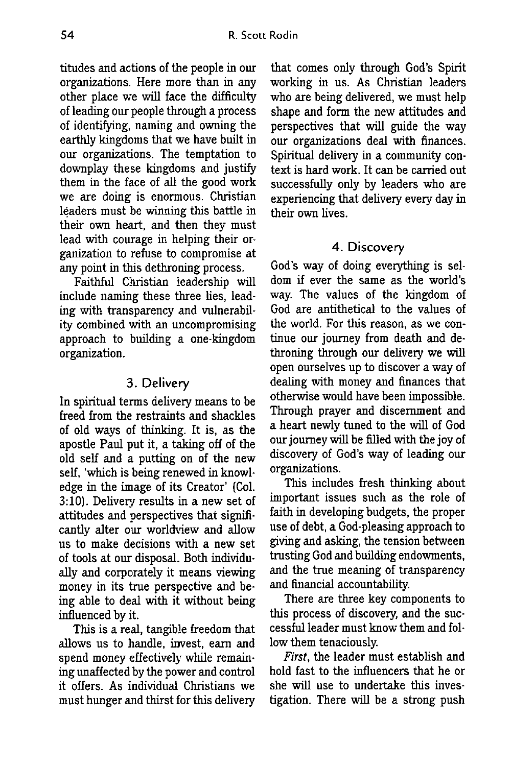titudes and actions of the people in our organizations. Here more than in any other place we will face the difficulty of leading our people through a process of identifying, naming and owning the earthly kingdoms that we have built in our organizations. The temptation to downplay these kingdoms and justify them in the face of all the good work we are doing is enormous. Christian leaders must be winning this battle in their own heart, and then they must lead with courage in helping their organization to refuse to compromise at any point in this dethroning process.

Faithful Christian leadership will include naming these three lies, leading with transparency and vulnerability combined with an uncompromising approach to building a one-kingdom organization.

#### 3. Delivery

In spiritual terms delivery means to be freed from the restraints and shackles of old ways of thinking. It is, as the apostie Paul put it, a taking off of the old self and a putting on of the new self, 'which is being renewed in knowledge in the image of its Creator' (Col. 3:10). Delivery results in a new set of attitudes and perspectives that significantly alter our worldview and allow us to make decisions with a new set of tools at our disposal. Both individually and corporately it means viewing money in its true perspective and being able to deal with it without being influenced by it.

This is a real, tangible freedom that allows us to handle, invest, earn and spend money effectively while remaining unaffected by the power and control it offers. As individual Christians we must hunger and thirst for this delivery that comes only through God's Spirit working in us. As Christian leaders who are being delivered, we must help shape and form the new attitudes and perspectives that will guide the way our organizations deal with finances. Spiritual delivery in a community context is hard work. It can be carried out successfully only by leaders who are experiencing that delivery every day in their own lives.

#### 4. Discovery

God's way of doing everything is seldom if ever the same as the world's way. The values of the kingdom of God are antithetical to the values of the world. For this reason, as we continue our journey from death and dethroning through our delivery we will open ourselves up to discover a way of dealing with money and finances that otherwise would have been impossible. Through prayer and discernment and a heart newly tuned to the will of God our journey will be filled with the joy of discovery of God's way of leading our organizations.

This includes fresh thinking about important issues such as the role of faith in developing budgets, the proper use of debt, a God-pleasing approach to giving and asking, the tension between trusting God and building endowments, and the true meaning of transparency and financial accountability.

There are three key components to this process of discovery, and the successful leader must know them and follow them tenaciously.

*First*, the leader must establish and hold fast to the influencers that he or she will use to undertake this investigation. There will be a strong push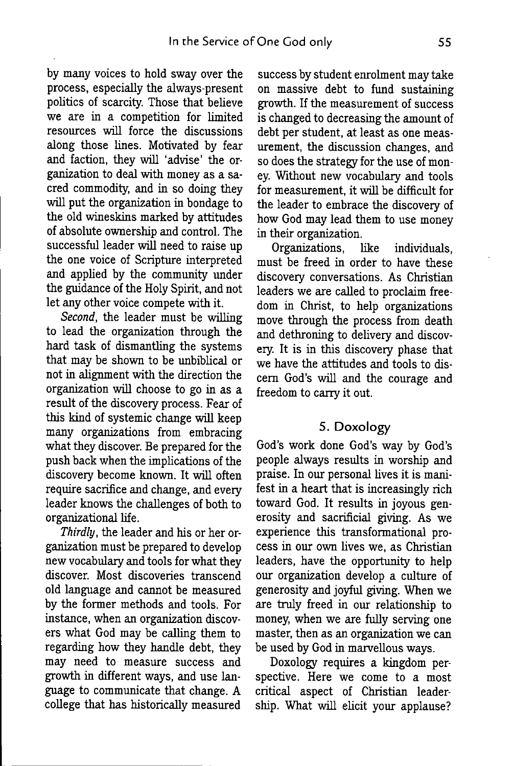by many voices to hold sway over the process, especially the always-present politics of scarcity. Those that beheve we are in a competition for limited resources will force the discussions along those lines. Motivated by fear and faction, they wül 'advise' the organization to deal with money as a sacred commodity, and in so doing they will put the organization in bondage to the old wineskins marked by attitudes of absolute ownership and control. The successful leader will need to raise up the one voice of Scripture interpreted and applied by the community under the guidance of the Holy Spirit, and not let any other voice compete with it.

*Second,* the leader must be willing to lead the organization through the hard task of dismantling the systems that may be shown to be unbiblical or not in alignment with the direction the organization will choose to go in as a result of the discovery process. Fear of this kind of systemic change will keep many organizations from embracing what they discover. Be prepared for the push back when the implications of the discovery become known. It will often require sacrifice and change, and every leader knows the challenges of both to organizational life.

*Thirdly,* the leader and his or her organization must be prepared to develop new vocabulary and tools for what they discover. Most discoveries transcend old language and cannot be measured by the former methods and tools. For instance, when an organization discovers what God may be calling them to regarding how they handle debt, they may need to measure success and growth in different ways, and use language to communicate that change. A college that has historically measured

success by student enrolment may take on massive debt to fund sustaining growth. If the measurement of success is changed to decreasing the amount of debt per student, at least as one measurement, the discussion changes, and so does the strategy for the use of money. Without new vocabulary and tools for measurement, it will be difficult for the leader to embrace the discovery of how God may lead them to use money in their organization.

Organizations, like individuals, must be freed in order to have these discovery conversations. As Christian leaders we are called to proclaim freedom in Christ, to help organizations move through the process from death and dethroning to delivery and discovery. It is in this discovery phase that we have the attitudes and tools to discern God's will and the courage and freedom to carry it out.

#### **5. Doxology**

God's work done God's way by God's people always results in worship and praise. In our personal lives it is manifest in a heart that is increasingly rich toward God. It results in joyous generosity and sacrificial giving. As we experience this transformational process in our own hves we, as Christian leaders, have the opportunity to help our organization develop a culture of generosity and joyful giving. When we are truly freed in our relationship to money, when we are fully serving one master, then as an organization we can be used by God in marvellous ways.

Doxology requires a kingdom perspective. Here we come to a most critical aspect of Christian leadership. What will elicit your applause?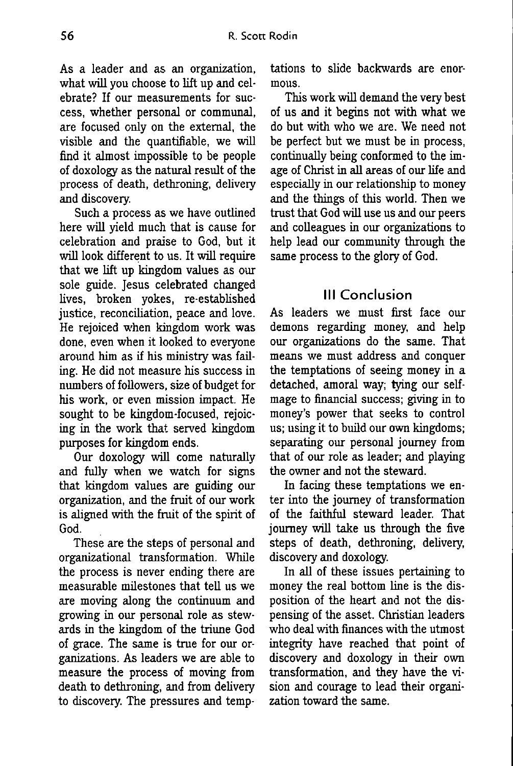As a leader and as an organization, what will you choose to lift up and celebrate? If our measurements for success, whether personal or communal, are focused only on the external, the visible and the quantifiable, we will find it almost impossible to be people of doxology as the natural result of the process of death, dethroning, delivery and discovery.

Such a process as we have outlined here will yield much that is cause for celebration and praise to God, but it will look different to us. It will require that we lift up kingdom values as our sole guide. Jesus celebrated changed lives, broken yokes, re-established justice, reconciliation, peace and love. He rejoiced when kingdom work was done, even when it looked to everyone around him as if his ministry was failing. He did not measure his success in numbers of followers, size of budget for his work, or even mission impact. He sought to be kingdom-focused, rejoicing in the work that served kingdom purposes for kingdom ends.

Our doxology will come naturally and fully when we watch for signs that kingdom values are guiding our organization, and the fruit of our work is aligned with the fruit of the spirit of God.

These are the steps of personal and organizational transformation. While the process is never ending there are measurable milestones that tell us we are moving along the continuum and growing in our personal role as stewards in the kingdom of the triune God of grace. The same is true for our organizations. As leaders we are able to measure the process of moving from death to dethroning, and from delivery to discovery. The pressures and temptations to slide backwards are enormous.

This work will demand the very best of us and it begins not with what we do but with who we are. We need not be perfect but we must be in process, continually being conformed to the image of Christ in all areas of our life and especially in our relationship to money and the things of this world. Then we trust that God will use us and our peers and colleagues in our organizations to help lead our community through the same process to the glory of God.

## Ill Conclusion

As leaders we must first face our demons regarding money, and help our organizations do the same. That means we must address and conquer the temptations of seeing money in a detached, amoral way; tying our selfmage to financial success; giving in to money's power that seeks to control us; using it to build our own kingdoms; separating our personal journey from that of our role as leader; and playing the owner and not the steward.

In facing these temptations we enter into the journey of transformation of the faithful steward leader. That journey will take us through the five steps of death, dethroning, delivery, discovery and doxology

In all of these issues pertaining to money the real bottom line is the disposition of the heart and not the dispensing of the asset. Christian leaders who deal with finances with the utmost integrity have reached that point of discovery and doxology in their own transformation, and they have the vision and courage to lead their organization toward the same.